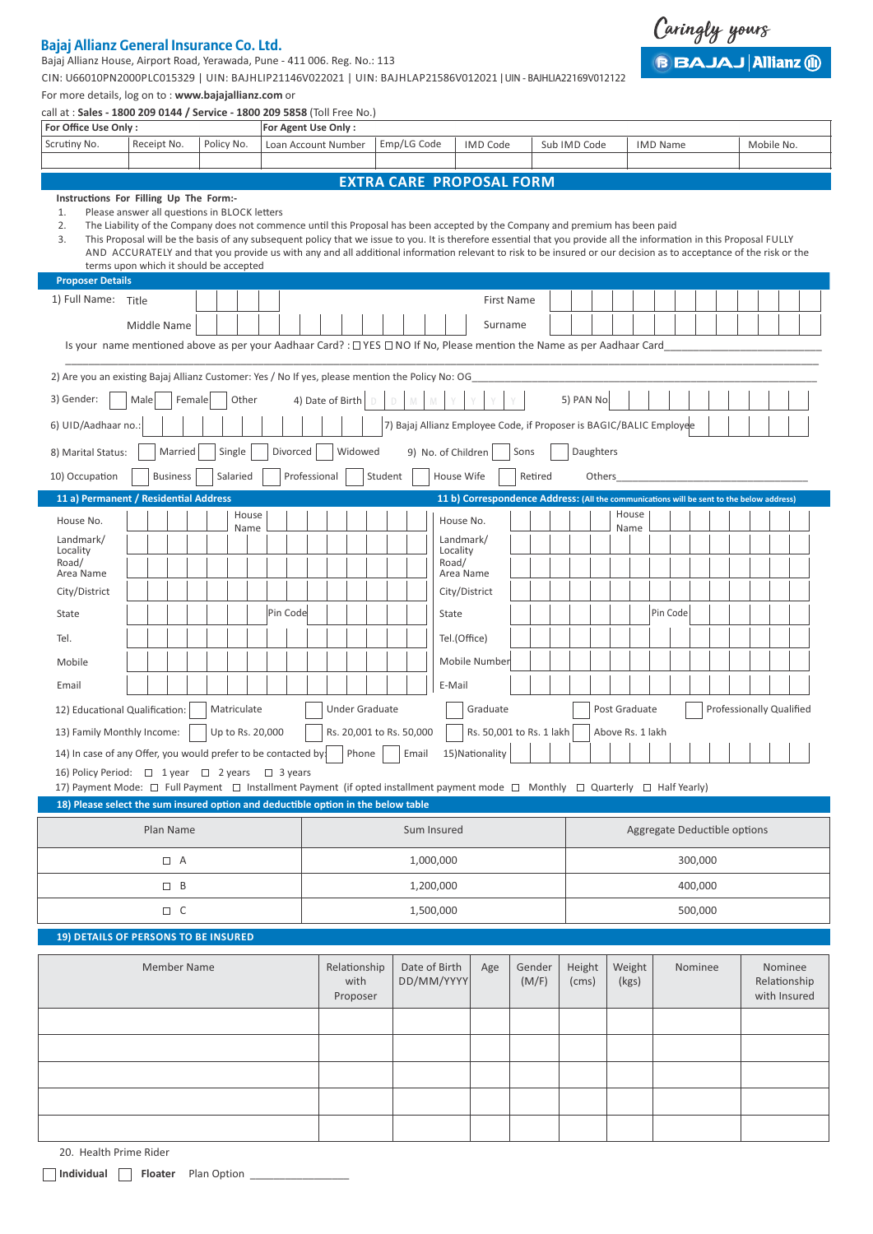# **Bajaj Allianz General Insurance Co. Ltd.**

Bajaj Allianz House, Airport Road, Yerawada, Pune - 411 006. Reg. No.: 113

CIN: U66010PN2000PLC015329 | UIN: BAJHLIP21146V022021 | UIN: BAJHLAP21586V012021 | UIN - BAJHLIA22169V012122

For more details, log on to : **www.bajajallianz.com** or

| call at : Sales - 1800 209 0144 / Service - 1800 209 5858 (Toll Free No.)                                                      |                                                                                                                                                                                                                                                                                                                                                                                                                                                                                                                                                                      |         |            |             |                                                                                           |             |              |                                                      |         |                 |             |                              |                    |                                                                                          |            |         |              |           |               |                 |  |  |  |                          |  |
|--------------------------------------------------------------------------------------------------------------------------------|----------------------------------------------------------------------------------------------------------------------------------------------------------------------------------------------------------------------------------------------------------------------------------------------------------------------------------------------------------------------------------------------------------------------------------------------------------------------------------------------------------------------------------------------------------------------|---------|------------|-------------|-------------------------------------------------------------------------------------------|-------------|--------------|------------------------------------------------------|---------|-----------------|-------------|------------------------------|--------------------|------------------------------------------------------------------------------------------|------------|---------|--------------|-----------|---------------|-----------------|--|--|--|--------------------------|--|
| For Office Use Only:                                                                                                           |                                                                                                                                                                                                                                                                                                                                                                                                                                                                                                                                                                      |         |            |             |                                                                                           |             |              | For Agent Use Only:                                  |         |                 |             |                              |                    |                                                                                          |            |         |              |           |               |                 |  |  |  |                          |  |
| Scrutiny No.                                                                                                                   | Receipt No.                                                                                                                                                                                                                                                                                                                                                                                                                                                                                                                                                          |         | Policy No. |             |                                                                                           |             |              | Loan Account Number                                  |         |                 | Emp/LG Code |                              |                    | IMD Code                                                                                 |            |         | Sub IMD Code |           |               | <b>IMD Name</b> |  |  |  | Mobile No.               |  |
|                                                                                                                                |                                                                                                                                                                                                                                                                                                                                                                                                                                                                                                                                                                      |         |            |             |                                                                                           |             |              |                                                      |         |                 |             |                              |                    |                                                                                          |            |         |              |           |               |                 |  |  |  |                          |  |
|                                                                                                                                | <b>EXTRA CARE PROPOSAL FORM</b><br>Instructions For Filling Up The Form:-                                                                                                                                                                                                                                                                                                                                                                                                                                                                                            |         |            |             |                                                                                           |             |              |                                                      |         |                 |             |                              |                    |                                                                                          |            |         |              |           |               |                 |  |  |  |                          |  |
| 1.<br>2.<br>3.                                                                                                                 | Please answer all questions in BLOCK letters<br>The Liability of the Company does not commence until this Proposal has been accepted by the Company and premium has been paid<br>This Proposal will be the basis of any subsequent policy that we issue to you. It is therefore essential that you provide all the information in this Proposal FULLY<br>AND ACCURATELY and that you provide us with any and all additional information relevant to risk to be insured or our decision as to acceptance of the risk or the<br>terms upon which it should be accepted |         |            |             |                                                                                           |             |              |                                                      |         |                 |             |                              |                    |                                                                                          |            |         |              |           |               |                 |  |  |  |                          |  |
| <b>Proposer Details</b>                                                                                                        |                                                                                                                                                                                                                                                                                                                                                                                                                                                                                                                                                                      |         |            |             |                                                                                           |             |              |                                                      |         |                 |             |                              |                    |                                                                                          |            |         |              |           |               |                 |  |  |  |                          |  |
| 1) Full Name: Title                                                                                                            |                                                                                                                                                                                                                                                                                                                                                                                                                                                                                                                                                                      |         |            |             |                                                                                           |             |              |                                                      |         |                 |             |                              |                    |                                                                                          | First Name |         |              |           |               |                 |  |  |  |                          |  |
|                                                                                                                                | Middle Name                                                                                                                                                                                                                                                                                                                                                                                                                                                                                                                                                          |         |            |             |                                                                                           |             |              |                                                      |         |                 |             |                              |                    | Surname                                                                                  |            |         |              |           |               |                 |  |  |  |                          |  |
|                                                                                                                                | Is your name mentioned above as per your Aadhaar Card? : $\Box$ YES $\Box$ NO If No, Please mention the Name as per Aadhaar Card                                                                                                                                                                                                                                                                                                                                                                                                                                     |         |            |             |                                                                                           |             |              |                                                      |         |                 |             |                              |                    |                                                                                          |            |         |              |           |               |                 |  |  |  |                          |  |
| 2) Are you an existing Bajaj Allianz Customer: Yes / No If yes, please mention the Policy No: OG                               |                                                                                                                                                                                                                                                                                                                                                                                                                                                                                                                                                                      |         |            |             |                                                                                           |             |              |                                                      |         |                 |             |                              |                    |                                                                                          |            |         |              |           |               |                 |  |  |  |                          |  |
| 3) Gender:                                                                                                                     | Male                                                                                                                                                                                                                                                                                                                                                                                                                                                                                                                                                                 | Female  |            | Other       |                                                                                           |             |              | 4) Date of Birth                                     |         |                 | D           |                              |                    |                                                                                          |            |         | 5) PAN No.   |           |               |                 |  |  |  |                          |  |
| 6) UID/Aadhaar no.:                                                                                                            |                                                                                                                                                                                                                                                                                                                                                                                                                                                                                                                                                                      |         |            |             |                                                                                           |             |              |                                                      |         |                 |             |                              |                    | 7) Bajaj Allianz Employee Code, if Proposer is BAGIC/BALIC Employee                      |            |         |              |           |               |                 |  |  |  |                          |  |
| 8) Marital Status:                                                                                                             |                                                                                                                                                                                                                                                                                                                                                                                                                                                                                                                                                                      | Married |            | Single      |                                                                                           |             | Divorced     |                                                      | Widowed |                 |             |                              | 9) No. of Children |                                                                                          | Sons       |         |              | Daughters |               |                 |  |  |  |                          |  |
| 10) Occupation                                                                                                                 | <b>Business</b>                                                                                                                                                                                                                                                                                                                                                                                                                                                                                                                                                      |         |            | Salaried    |                                                                                           |             | Professional |                                                      |         | Student         |             |                              | House Wife         |                                                                                          |            | Retired |              | Others    |               |                 |  |  |  |                          |  |
| 11 a) Permanent / Residential Address                                                                                          |                                                                                                                                                                                                                                                                                                                                                                                                                                                                                                                                                                      |         |            |             |                                                                                           |             |              |                                                      |         |                 |             |                              |                    | 11 b) Correspondence Address: (All the communications will be sent to the below address) |            |         |              |           |               |                 |  |  |  |                          |  |
| House No.                                                                                                                      |                                                                                                                                                                                                                                                                                                                                                                                                                                                                                                                                                                      |         |            | House       |                                                                                           |             |              |                                                      |         |                 |             |                              | House No.          |                                                                                          |            |         |              |           | House         |                 |  |  |  |                          |  |
| Landmark/                                                                                                                      |                                                                                                                                                                                                                                                                                                                                                                                                                                                                                                                                                                      |         |            | Name        |                                                                                           |             |              |                                                      |         |                 |             |                              | Landmark/          |                                                                                          |            |         |              |           | Name          |                 |  |  |  |                          |  |
| Locality<br>Road/                                                                                                              |                                                                                                                                                                                                                                                                                                                                                                                                                                                                                                                                                                      |         |            |             |                                                                                           |             |              |                                                      |         |                 |             |                              | Locality<br>Road/  |                                                                                          |            |         |              |           |               |                 |  |  |  |                          |  |
| Area Name                                                                                                                      |                                                                                                                                                                                                                                                                                                                                                                                                                                                                                                                                                                      |         |            |             |                                                                                           |             |              |                                                      |         |                 |             |                              | Area Name          |                                                                                          |            |         |              |           |               |                 |  |  |  |                          |  |
| City/District                                                                                                                  |                                                                                                                                                                                                                                                                                                                                                                                                                                                                                                                                                                      |         |            |             |                                                                                           |             |              |                                                      |         |                 |             |                              | City/District      |                                                                                          |            |         |              |           |               |                 |  |  |  |                          |  |
| State                                                                                                                          |                                                                                                                                                                                                                                                                                                                                                                                                                                                                                                                                                                      |         |            |             |                                                                                           | Pin Code    |              |                                                      |         |                 |             |                              | State              |                                                                                          |            |         |              |           |               | Pin Code        |  |  |  |                          |  |
| Tel.                                                                                                                           |                                                                                                                                                                                                                                                                                                                                                                                                                                                                                                                                                                      |         |            |             |                                                                                           |             |              |                                                      |         |                 |             |                              | Tel.(Office)       |                                                                                          |            |         |              |           |               |                 |  |  |  |                          |  |
| Mobile                                                                                                                         |                                                                                                                                                                                                                                                                                                                                                                                                                                                                                                                                                                      |         |            |             |                                                                                           |             |              |                                                      |         |                 |             |                              |                    | Mobile Number                                                                            |            |         |              |           |               |                 |  |  |  |                          |  |
| Email                                                                                                                          |                                                                                                                                                                                                                                                                                                                                                                                                                                                                                                                                                                      |         |            |             |                                                                                           |             |              |                                                      |         |                 |             |                              | E-Mail             |                                                                                          |            |         |              |           |               |                 |  |  |  |                          |  |
| 12) Educational Qualification:                                                                                                 |                                                                                                                                                                                                                                                                                                                                                                                                                                                                                                                                                                      |         |            | Matriculate |                                                                                           |             |              |                                                      |         | Under Graduate  |             |                              |                    | Graduate                                                                                 |            |         |              |           | Post Graduate |                 |  |  |  | Professionally Qualified |  |
| 13) Family Monthly Income:                                                                                                     |                                                                                                                                                                                                                                                                                                                                                                                                                                                                                                                                                                      |         |            |             | Up to Rs. 20,000                                                                          |             |              | Rs. 20,001 to Rs. 50,000<br>Rs. 50,001 to Rs. 1 lakh |         |                 |             |                              |                    | Above Rs. 1 lakh                                                                         |            |         |              |           |               |                 |  |  |  |                          |  |
| 14) In case of any Offer, you would prefer to be contacted by:                                                                 |                                                                                                                                                                                                                                                                                                                                                                                                                                                                                                                                                                      |         |            |             | Phone                                                                                     |             |              | Email                                                |         | 15) Nationality |             |                              |                    |                                                                                          |            |         |              |           |               |                 |  |  |  |                          |  |
| 16) Policy Period: □ 1 year □ 2 years □ 3 years                                                                                |                                                                                                                                                                                                                                                                                                                                                                                                                                                                                                                                                                      |         |            |             |                                                                                           |             |              |                                                      |         |                 |             |                              |                    |                                                                                          |            |         |              |           |               |                 |  |  |  |                          |  |
| 17) Payment Mode: □ Full Payment □ Installment Payment (if opted installment payment mode □ Monthly □ Quarterly □ Half Yearly) |                                                                                                                                                                                                                                                                                                                                                                                                                                                                                                                                                                      |         |            |             |                                                                                           |             |              |                                                      |         |                 |             |                              |                    |                                                                                          |            |         |              |           |               |                 |  |  |  |                          |  |
| 18) Please select the sum insured option and deductible option in the below table                                              |                                                                                                                                                                                                                                                                                                                                                                                                                                                                                                                                                                      |         |            |             |                                                                                           |             |              |                                                      |         |                 |             |                              |                    |                                                                                          |            |         |              |           |               |                 |  |  |  |                          |  |
|                                                                                                                                | Plan Name                                                                                                                                                                                                                                                                                                                                                                                                                                                                                                                                                            |         |            |             |                                                                                           | Sum Insured |              |                                                      |         |                 |             | Aggregate Deductible options |                    |                                                                                          |            |         |              |           |               |                 |  |  |  |                          |  |
| $\Box$ A                                                                                                                       |                                                                                                                                                                                                                                                                                                                                                                                                                                                                                                                                                                      |         |            |             | 1,000,000                                                                                 |             |              |                                                      |         |                 | 300,000     |                              |                    |                                                                                          |            |         |              |           |               |                 |  |  |  |                          |  |
| $\Box$ B                                                                                                                       |                                                                                                                                                                                                                                                                                                                                                                                                                                                                                                                                                                      |         |            |             | 1,200,000                                                                                 |             |              |                                                      |         |                 | 400,000     |                              |                    |                                                                                          |            |         |              |           |               |                 |  |  |  |                          |  |
| $\Box$ C                                                                                                                       |                                                                                                                                                                                                                                                                                                                                                                                                                                                                                                                                                                      |         |            |             | 1,500,000                                                                                 |             |              |                                                      |         |                 | 500,000     |                              |                    |                                                                                          |            |         |              |           |               |                 |  |  |  |                          |  |
| 19) DETAILS OF PERSONS TO BE INSURED                                                                                           |                                                                                                                                                                                                                                                                                                                                                                                                                                                                                                                                                                      |         |            |             |                                                                                           |             |              |                                                      |         |                 |             |                              |                    |                                                                                          |            |         |              |           |               |                 |  |  |  |                          |  |
| <b>Member Name</b>                                                                                                             |                                                                                                                                                                                                                                                                                                                                                                                                                                                                                                                                                                      |         |            |             | Relationship<br>Date of Birth<br>Gender<br>Age<br>with<br>DD/MM/YYYY<br>(M/F)<br>Proposer |             |              | Height<br>(cms)                                      |         | Weight<br>(kgs) | Nominee     |                              |                    | Nominee<br>Relationship<br>with Insured                                                  |            |         |              |           |               |                 |  |  |  |                          |  |
|                                                                                                                                |                                                                                                                                                                                                                                                                                                                                                                                                                                                                                                                                                                      |         |            |             |                                                                                           |             |              |                                                      |         |                 |             |                              |                    |                                                                                          |            |         |              |           |               |                 |  |  |  |                          |  |
|                                                                                                                                |                                                                                                                                                                                                                                                                                                                                                                                                                                                                                                                                                                      |         |            |             |                                                                                           |             |              |                                                      |         |                 |             |                              |                    |                                                                                          |            |         |              |           |               |                 |  |  |  |                          |  |
|                                                                                                                                |                                                                                                                                                                                                                                                                                                                                                                                                                                                                                                                                                                      |         |            |             |                                                                                           |             |              |                                                      |         |                 |             |                              |                    |                                                                                          |            |         |              |           |               |                 |  |  |  |                          |  |
|                                                                                                                                |                                                                                                                                                                                                                                                                                                                                                                                                                                                                                                                                                                      |         |            |             |                                                                                           |             |              |                                                      |         |                 |             |                              |                    |                                                                                          |            |         |              |           |               |                 |  |  |  |                          |  |
|                                                                                                                                |                                                                                                                                                                                                                                                                                                                                                                                                                                                                                                                                                                      |         |            |             |                                                                                           |             |              |                                                      |         |                 |             |                              |                    |                                                                                          |            |         |              |           |               |                 |  |  |  |                          |  |
|                                                                                                                                |                                                                                                                                                                                                                                                                                                                                                                                                                                                                                                                                                                      |         |            |             |                                                                                           |             |              |                                                      |         |                 |             |                              |                    |                                                                                          |            |         |              |           |               |                 |  |  |  |                          |  |

20. Health Prime Rider